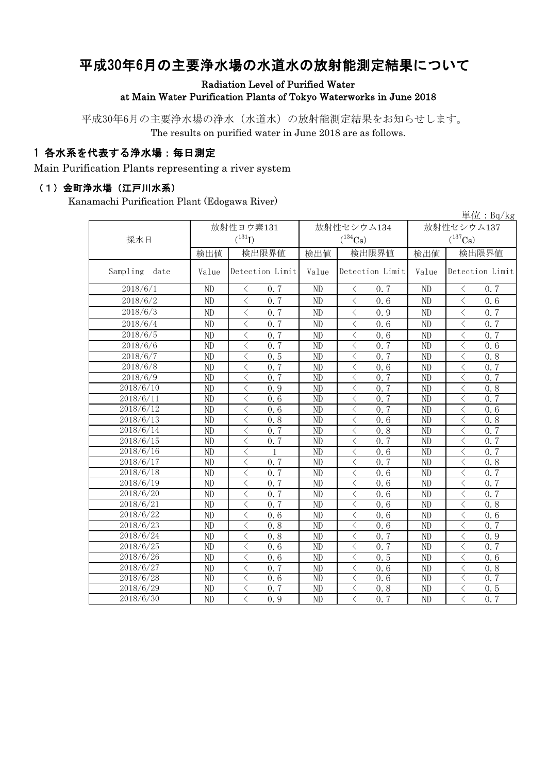# 平成30年6月の主要浄水場の水道水の放射能測定結果について

Radiation Level of Purified Water at Main Water Purification Plants of Tokyo Waterworks in June 2018

平成30年6月の主要浄水場の浄水(水道水)の放射能測定結果をお知らせします。 The results on purified water in June 2018 are as follows.

#### 1 各水系を代表する浄水場:毎日測定

Main Purification Plants representing a river system

#### (1)金町浄水場(江戸川水系)

Kanamachi Purification Plant (Edogawa River)

|                  |                 |                                                 |                 |                                                  |                       | 単位: Bq/kg                                       |  |
|------------------|-----------------|-------------------------------------------------|-----------------|--------------------------------------------------|-----------------------|-------------------------------------------------|--|
|                  |                 | 放射性ヨウ素131                                       |                 | 放射性セシウム134                                       | 放射性セシウム137            |                                                 |  |
| 採水日              |                 | $(^{131}I)$                                     |                 | $(^{134}\mathrm{Cs})$                            | $(^{137}\mathrm{Cs})$ |                                                 |  |
|                  | 検出値             | 検出限界値                                           | 検出値             | 検出限界値                                            | 検出値                   | 検出限界値                                           |  |
|                  |                 |                                                 |                 |                                                  |                       |                                                 |  |
| Sampling<br>date | Value           | Detection Limit                                 | Value           | Detection Limit                                  | Value                 | Detection Limit                                 |  |
| 2018/6/1         | ND              | 0.7<br>$\lt$                                    | ND              | 0.7<br>$\langle$                                 | ND                    | 0.7<br>$\langle$                                |  |
| 2018/6/2         | ND              | $\overline{\left\langle \right\rangle }$<br>0.7 | ND              | $\langle$<br>0.6                                 | ND                    | $\overline{\langle}$<br>0.6                     |  |
| 2018/6/3         | ND              | $\overline{\left\langle \right\rangle }$<br>0.7 | ND              | $\lt$<br>0.9                                     | ND                    | $\langle$<br>0.7                                |  |
| 2018/6/4         | ND              | $\lt$<br>0.7                                    | ND              | 0.6<br>$\lt$                                     | ND                    | $\lt$<br>0.7                                    |  |
| 2018/6/5         | ND              | 0.7<br>$\lt$                                    | ND              | $\langle$<br>0.6                                 | ND                    | $\langle$<br>$0.\overline{7}$                   |  |
| 2018/6/6         | ND              | $\overline{\left\langle \right\rangle }$<br>0.7 | ND              | $\lt$<br>$0, \overline{7}$                       | ND                    | $\langle$<br>0.6                                |  |
| 2018/6/7         | ND              | 0.5<br>$\overline{\left\langle \right\rangle }$ | $\overline{ND}$ | $\overline{\langle}$<br>0.7                      | ND                    | $\langle$<br>0.8                                |  |
| 2018/6/8         | N <sub>D</sub>  | $\overline{\left\langle \right\rangle }$<br>0.7 | ND              | 0.6<br>$\lt$                                     | ND                    | 0.7<br>$\lt$                                    |  |
| 2018/6/9         | ND              | $\overline{\langle}$<br>0.7                     | ND              | 0.7<br>$\lt$                                     | ND                    | 0.7<br>$\langle$                                |  |
| 2018/6/10        | $\overline{ND}$ | $\overline{\langle}$<br>0.9                     | $\overline{ND}$ | 0, 7<br>$\overline{\langle}$                     | $\overline{ND}$       | $\langle$<br>0.8                                |  |
| 2018/6/11        | ND              | $\overline{\left\langle \right\rangle }$<br>0.6 | $\overline{ND}$ | 0.7<br>$\langle$                                 | ND                    | 0.7<br>$\langle$                                |  |
| 2018/6/12        | N <sub>D</sub>  | $\overline{\langle}$<br>$\overline{0.6}$        | ND              | $\overline{\left\langle \right\rangle }$<br>0, 7 | ND                    | $\overline{\left\langle \right\rangle }$<br>0.6 |  |
| 2018/6/13        | ND              | $\overline{\left\langle \right\rangle }$<br>0.8 | ND              | $\lt$<br>0.6                                     | ND                    | $\langle$<br>0.8                                |  |
| 2018/6/14        | $\overline{ND}$ | 0.7<br>$\overline{\langle}$                     | $\overline{ND}$ | $\overline{\langle}$<br>0.8                      | $\overline{ND}$       | 0, 7<br>$\overline{\langle}$                    |  |
| 2018/6/15        | ND              | $\overline{\left\langle \right\rangle }$<br>0.7 | ND              | $\langle$<br>0.7                                 | ND                    | 0.7<br>$\langle$                                |  |
| 2018/6/16        | $\overline{ND}$ | $\overline{\langle}$<br>$\mathbf{1}$            | $\overline{ND}$ | $\overline{\langle}$<br>0.6                      | $\overline{ND}$       | $\overline{\langle}$<br>0.7                     |  |
| 2018/6/17        | ND              | $\overline{\left\langle \right\rangle }$<br>0.7 | ND              | $\,<\,$<br>0.7                                   | ND                    | $\lt$<br>0.8                                    |  |
| 2018/6/18        | ND              | 0.7<br>$\overline{\left\langle \right\rangle }$ | ND              | 0.6<br>$\langle$                                 | ND                    | 0.7<br>$\langle$                                |  |
| 2018/6/19        | ND              | $\overline{\left\langle \right\rangle }$<br>0.7 | ND              | $\lt$<br>0.6                                     | ND                    | $\lt$<br>0, 7                                   |  |
| 2018/6/20        | ND              | 0.7<br>$\overline{\left\langle \right\rangle }$ | ND              | $\overline{\langle}$<br>0.6                      | ND                    | 0.7<br>$\langle$                                |  |
| 2018/6/21        | ND              | $\lt$<br>0.7                                    | ND              | $\lt$<br>0.6                                     | ND                    | $\langle$<br>0.8                                |  |
| 2018/6/22        | ND              | $\overline{\left\langle \right\rangle }$<br>0.6 | ND              | $\overline{\langle}$<br>0.6                      | ND                    | $\langle$<br>0.6                                |  |
| 2018/6/23        | ND              | $\langle$<br>0.8                                | ND              | $\lt$<br>0.6                                     | ND                    | $\lt$<br>0, 7                                   |  |
| 2018/6/24        | ND              | $\overline{\left\langle \right\rangle }$<br>0.8 | ND              | $\overline{\langle}$<br>0.7                      | ND                    | $\lt$<br>0.9                                    |  |
| 2018/6/25        | ND              | $\overline{\langle}$<br>$\overline{0.6}$        | ND              | $\overline{\langle}$<br>0.7                      | ND                    | $\overline{\langle}$<br>0.7                     |  |
| 2018/6/26        | ND              | $\lt$<br>0.6                                    | ND              | $\lt$<br>0.5                                     | ND                    | $\lt$<br>0.6                                    |  |
| 2018/6/27        | ND              | $\overline{\langle}$<br>0.7                     | ND              | $\overline{\langle}$<br>0.6                      | ND                    | $\langle$<br>0.8                                |  |
| 2018/6/28        | ND              | $\lt$<br>0.6                                    | ND              | $\langle$<br>0.6                                 | ND                    | 0, 7<br>$\langle$                               |  |
| 2018/6/29        | ND              | $\langle$<br>0.7                                | ND              | $\lt$<br>0.8                                     | ND                    | $\lt$<br>0.5                                    |  |
| 2018/6/30        | ND              | $\overline{\left\langle \right\rangle }$<br>0.9 | ND              | $\langle$<br>0, 7                                | ND                    | $\overline{\left\langle \right\rangle }$<br>0.7 |  |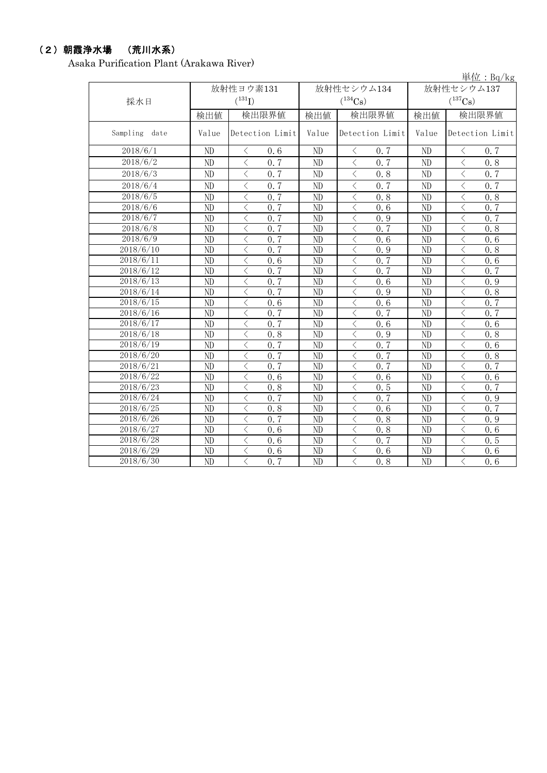### (2)朝霞浄水場 (荒川水系)

Asaka Purification Plant (Arakawa River)

|                  |                 |                                                 |                 |                                                 |                       | 単位: $Bq/kg$                                     |  |  |
|------------------|-----------------|-------------------------------------------------|-----------------|-------------------------------------------------|-----------------------|-------------------------------------------------|--|--|
|                  |                 | 放射性ヨウ素131                                       |                 | 放射性セシウム134                                      | 放射性セシウム137            |                                                 |  |  |
| 採水日              |                 | $(^{131}I)$                                     |                 | $(^{134}\mathrm{Cs})$                           | $(^{137}\mathrm{Cs})$ |                                                 |  |  |
|                  | 検出値             | 検出限界値                                           | 検出値             | 検出限界値                                           | 検出値                   | 検出限界値                                           |  |  |
| Sampling<br>date | Value           | Detection Limit                                 | Value           | Detection Limit                                 | Value                 | Detection Limit                                 |  |  |
| 2018/6/1         | ND              | 0.6<br>$\lt$                                    | ND              | $\lt$<br>0.7                                    | N <sub>D</sub>        | 0.7<br>$\langle$                                |  |  |
| 2018/6/2         | ND              | $\langle$<br>0.7                                | ND              | $\langle$<br>0.7                                | ND                    | $\langle$<br>0.8                                |  |  |
| 2018/6/3         | N <sub>D</sub>  | $\lt$<br>0.7                                    | ND              | $\,<\,$<br>0.8                                  | ND                    | $\lt$<br>0.7                                    |  |  |
| 2018/6/4         | ND              | $\overline{\left\langle \right\rangle }$<br>0.7 | ND              | $\overline{\left\langle \right\rangle }$<br>0.7 | ND                    | $\overline{\left\langle \right\rangle }$<br>0.7 |  |  |
| 2018/6/5         | ND              | $\langle$<br>0.7                                | ND              | $\langle$<br>0.8                                | ND                    | $\langle$<br>0.8                                |  |  |
| 2018/6/6         | N <sub>D</sub>  | $\langle$<br>0.7                                | ND              | $\langle$<br>0, 6                               | N <sub>D</sub>        | $\langle$<br>0.7                                |  |  |
| 2018/6/7         | $\overline{ND}$ | $\overline{\langle}$<br>0.7                     | $\overline{ND}$ | $\overline{\langle}$<br>0.9                     | ND                    | $\overline{\langle}$<br>0.7                     |  |  |
| 2018/6/8         | ND              | $\langle$<br>0.7                                | ND              | $\lt$<br>0.7                                    | N <sub>D</sub>        | $\langle$<br>0, 8                               |  |  |
| 2018/6/9         | ND              | $\langle$<br>0.7                                | ND              | $\lt$<br>0, 6                                   | N <sub>D</sub>        | $\lt$<br>0, 6                                   |  |  |
| 2018/6/10        | ND              | $\langle$<br>0.7                                | ND              | $\langle$<br>0.9                                | ND                    | $\langle$<br>0, 8                               |  |  |
| 2018/6/11        | ND              | $\langle$<br>0, 6                               | ND              | $\langle$<br>0, 7                               | ND                    | $\lt$<br>0, 6                                   |  |  |
| 2018/6/12        | ND              | $\langle$<br>0.7                                | ND              | $\langle$<br>0, 7                               | ND                    | 0.7<br>$\lt$                                    |  |  |
| 2018/6/13        | ND              | $\lt$<br>0.7                                    | ND              | $\lt$<br>0.6                                    | ND                    | $\lt$<br>0.9                                    |  |  |
| 2018/6/14        | ND              | $\langle$<br>0.7                                | ND              | $\lt$<br>0.9                                    | ND                    | $\langle$<br>0.8                                |  |  |
| 2018/6/15        | ND              | $\langle$<br>0.6                                | ND              | $\langle$<br>0.6                                | ND                    | $\langle$<br>0.7                                |  |  |
| 2018/6/16        | ND              | $\langle$<br>0.7                                | ND              | $\lt$<br>0, 7                                   | ND                    | $\lt$<br>0.7                                    |  |  |
| 2018/6/17        | ND              | $\langle$<br>0.7                                | ND              | $\lt$<br>0.6                                    | ND                    | $\langle$<br>0, 6                               |  |  |
| 2018/6/18        | ND              | $\langle$<br>0.8                                | ND              | $\lt$<br>0.9                                    | ND                    | $\lt$<br>0, 8                                   |  |  |
| 2018/6/19        | ND              | $\langle$<br>0, 7                               | ND              | $\lt$<br>0.7                                    | ND                    | $\langle$<br>0.6                                |  |  |
| 2018/6/20        | ND              | $\langle$<br>0.7                                | ND              | $\lt$<br>0, 7                                   | ND                    | $\langle$<br>0.8                                |  |  |
| 2018/6/21        | N <sub>D</sub>  | $\langle$<br>0.7                                | ND              | $\lt$<br>0, 7                                   | ND                    | $\langle$<br>0.7                                |  |  |
| 2018/6/22        | N <sub>D</sub>  | $\langle$<br>0, 6                               | ND              | $\langle$<br>0.6                                | ND                    | $\langle$<br>0.6                                |  |  |
| 2018/6/23        | ND              | $\langle$<br>0.8                                | ND              | $\lt$<br>0.5                                    | ND                    | $\overline{\langle}$<br>0.7                     |  |  |
| 2018/6/24        | ND              | $\langle$<br>0.7                                | ND              | $\lt$<br>0, 7                                   | ND                    | $\langle$<br>0.9                                |  |  |
| 2018/6/25        | N <sub>D</sub>  | 0.8<br>$\lt$                                    | ND              | $\lt$<br>0.6                                    | N <sub>D</sub>        | 0.7<br>$\lt$                                    |  |  |
| 2018/6/26        | N <sub>D</sub>  | 0.7<br>$\langle$                                | ND              | $\langle$<br>0.8                                | N <sub>D</sub>        | $\langle$<br>0.9                                |  |  |
| 2018/6/27        | ND              | $\lt$<br>0.6                                    | ND              | $\lt$<br>0.8                                    | N <sub>D</sub>        | $\lt$<br>0.6                                    |  |  |
| 2018/6/28        | N <sub>D</sub>  | $\langle$<br>0.6                                | ND              | $\lt$<br>0, 7                                   | N <sub>D</sub>        | $\lt$<br>0.5                                    |  |  |
| 2018/6/29        | ND              | $\overline{\langle}$<br>0.6                     | ND              | $\langle$<br>0.6                                | ND                    | $\overline{\langle}$<br>0.6                     |  |  |
| 2018/6/30        | ND              | $\lt$<br>$0, \overline{7}$                      | ND              | $\langle$<br>0.8                                | ND                    | $\lt$<br>0.6                                    |  |  |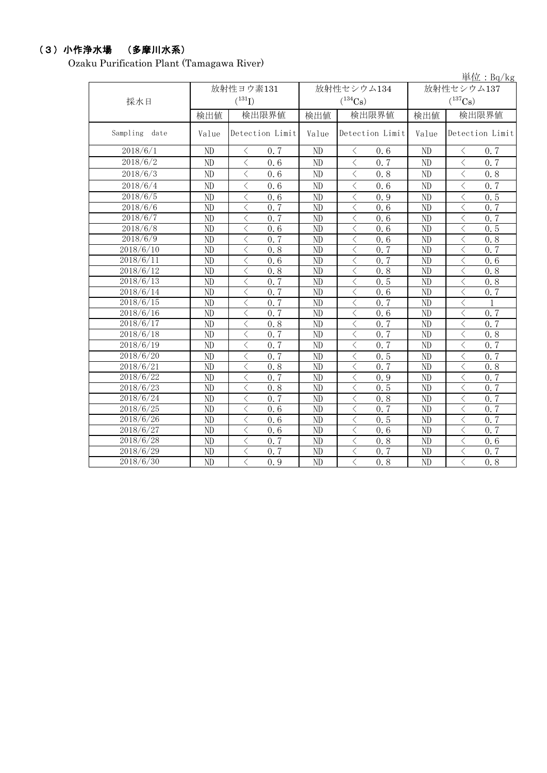# (3)小作浄水場 (多摩川水系)

Ozaku Purification Plant (Tamagawa River)

|                        |                 |                                                 |                 |                                                 |                       | 単位: $Bq/kg$                                     |  |  |
|------------------------|-----------------|-------------------------------------------------|-----------------|-------------------------------------------------|-----------------------|-------------------------------------------------|--|--|
|                        |                 | 放射性ヨウ素131                                       |                 | 放射性セシウム134                                      | 放射性セシウム137            |                                                 |  |  |
| 採水日                    |                 | $({}^{131}\mathrm{I})$                          |                 | $(^{134}\mathrm{Cs})$                           | $(^{137}\mathrm{Cs})$ |                                                 |  |  |
|                        | 検出値             | 検出限界値                                           | 検出値             | 検出限界値                                           | 検出値                   | 検出限界値                                           |  |  |
| Sampling<br>date       | Value           | Detection Limit                                 | Value           | Detection Limit                                 | Value                 | Detection Limit                                 |  |  |
| 2018/6/1               | ND              | 0.7<br>$\lt$                                    | ND              | $\lt$<br>0.6                                    | ND                    | 0.7<br>$\langle$                                |  |  |
| 2018/6/2               | ND              | $\langle$<br>0.6                                | ND              | $\langle$<br>0.7                                | ND                    | $\langle$<br>0, 7                               |  |  |
| 2018/6/3               | ND              | $\langle$<br>0.6                                | ND              | $\langle$<br>0.8                                | ND                    | $\lt$<br>0.8                                    |  |  |
| 2018/6/4               | ND              | $\overline{\left\langle \right\rangle }$<br>0.6 | ND              | $\overline{\left\langle \right\rangle }$<br>0.6 | ND                    | $\overline{\left\langle \right\rangle }$<br>0.7 |  |  |
| 2018/6/5               | ND              | $\langle$<br>0.6                                | ND              | $\langle$<br>0.9                                | ND                    | $\langle$<br>0.5                                |  |  |
| 2018/6/6               | N <sub>D</sub>  | $\langle$<br>0, 7                               | ND              | $\langle$<br>0, 6                               | N <sub>D</sub>        | $\lt$<br>0.7                                    |  |  |
| 2018/6/7               | $\overline{ND}$ | $\overline{\langle}$<br>0.7                     | $\overline{ND}$ | $\overline{\langle}$<br>0.6                     | ND                    | $\overline{\langle}$<br>0, 7                    |  |  |
| 2018/6/8               | ND              | $\langle$<br>0, 6                               | ND              | $\lt$<br>0.6                                    | N <sub>D</sub>        | $\langle$<br>0.5                                |  |  |
| 2018/6/9               | ND              | $\langle$<br>0.7                                | ND              | $\langle$<br>0.6                                | ND                    | $\lt$<br>0.8                                    |  |  |
| 2018/6/10              | ND              | $\langle$<br>0.8                                | ND              | 0, 7<br>$\langle$                               | ND                    | $\langle$<br>0, 7                               |  |  |
| 2018/6/11              | ND              | $\langle$<br>0, 6                               | ND              | $\langle$<br>0, 7                               | ND                    | $\langle$<br>0, 6                               |  |  |
| 2018/6/12              | ND              | $\langle$<br>0.8                                | ND              | $\lt$<br>0.8                                    | ND                    | $\lt$<br>0.8                                    |  |  |
| 2018/6/13              | ND              | $\langle$<br>0.7                                | ND              | $\langle$<br>0.5                                | ND                    | $\lt$<br>0.8                                    |  |  |
| 2018/6/14              | ND              | $\langle$<br>0.7                                | ND              | $\lt$<br>0.6                                    | ND                    | $\lt$<br>$0, \overline{7}$                      |  |  |
| 2018/6/15              | ND              | $\langle$<br>0.7                                | ND              | $\langle$<br>0, 7                               | ND                    | $\langle$<br>1                                  |  |  |
| 2018/6/16              | ND              | $\langle$<br>0, 7                               | ND              | $\lt$<br>0.6                                    | ND                    | $\langle$<br>0.7                                |  |  |
| 2018/6/17              | ND              | $\langle$<br>0.8                                | ND              | $\lt$<br>0, 7                                   | ND                    | $\langle$<br>0, 7                               |  |  |
| 2018/6/18              | ND              | $\langle$<br>0.7                                | ND              | $\langle$<br>0.7                                | ND                    | $\lt$<br>0.8                                    |  |  |
| 2018/6/19              | ND              | $\langle$<br>0.7                                | ND              | $\lt$<br>0.7                                    | ND                    | $\lt$<br>0.7                                    |  |  |
| 2018/6/20              | ND              | $\langle$<br>0.7                                | ND              | $\,<\,$<br>0.5                                  | ND                    | $\langle$<br>0.7                                |  |  |
| $2018/6\sqrt{21}$      | ND              | $\lt$<br>0.8                                    | ND              | $\lt$<br>0.7                                    | ND                    | $\lt$<br>0.8                                    |  |  |
| 2018/6/22              | ND              | $\lt$<br>0, 7                                   | ND              | $\langle$<br>0.9                                | ND                    | $\lt$<br>0.7                                    |  |  |
| 2018/6/23              | ND              | $\langle$<br>0.8                                | ND              | $\lt$<br>0.5                                    | ND                    | $\langle$<br>0.7                                |  |  |
| $20\overline{18/6}/24$ | ND              | $\langle$<br>0, 7                               | ND              | $\lt$<br>0.8                                    | ND                    | $\langle$<br>0.7                                |  |  |
| 2018/6/25              | ND              | $\langle$<br>0.6                                | ND              | $\lt$<br>0.7                                    | ND                    | $\lt$<br>0.7                                    |  |  |
| $20\overline{18/6/26}$ | ND              | $\langle$<br>0.6                                | ND              | $\lt$<br>0.5                                    | ND                    | $\langle$<br>0.7                                |  |  |
| $20\overline{18/6}/27$ | $\overline{ND}$ | $\overline{\langle}$<br>0, 6                    | ND              | $\overline{\langle}$<br>0.6                     | $\overline{ND}$       | $\overline{\langle}$<br>0, 7                    |  |  |
| $20\overline{18/6}/28$ | $\overline{ND}$ | $\overline{\langle}$<br>0.7                     | $\overline{ND}$ | $\lt$<br>0.8                                    | $\overline{ND}$       | $\overline{\langle}$<br>0.6                     |  |  |
| $20\overline{18/6/29}$ | ND              | $\overline{\langle}$<br>0.7                     | ND              | $\overline{\langle}$<br>0.7                     | ND                    | $\overline{\langle}$<br>0.7                     |  |  |
| 2018/6/30              | ND              | $\langle$<br>0.9                                | ND              | $\langle$<br>0.8                                | ND                    | $\lt$<br>0.8                                    |  |  |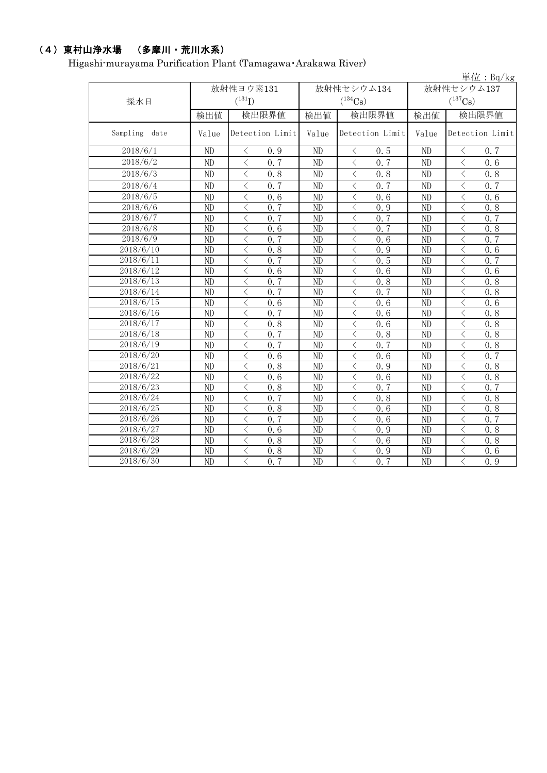# (4)東村山浄水場 (多摩川・荒川水系)

Higashi-murayama Purification Plant (Tamagawa・Arakawa River)

|                        |                        |                                                               |                 |                             |                 | 単位: $Bq/kg$                                     |  |
|------------------------|------------------------|---------------------------------------------------------------|-----------------|-----------------------------|-----------------|-------------------------------------------------|--|
|                        |                        | 放射性ヨウ素131                                                     |                 | 放射性セシウム134                  | 放射性セシウム137      |                                                 |  |
| 採水日                    |                        | $({}^{131}\mathrm{I})$                                        |                 | $(^{134}\mathrm{Cs})$       |                 | $(^{137}\mathrm{Cs})$                           |  |
|                        | 検出値                    | 検出限界値                                                         | 検出値             | 検出限界値                       | 検出値             | 検出限界値                                           |  |
| Sampling<br>date       | Value                  | Detection Limit                                               | Value           | Detection Limit             | Value           | Detection Limit                                 |  |
| 2018/6/1               | ND                     | 0.9<br>$\langle$                                              | ND              | 0.5<br>$\langle$            | ND              | $\langle$<br>0.7                                |  |
| 2018/6/2               | ND                     | $\langle$<br>0.7                                              | ND              | $\langle$<br>0, 7           | ND              | $\overline{\left\langle \right\rangle }$<br>0.6 |  |
| 2018/6/3               | ND                     | $\langle$<br>0.8                                              | ND              | $\langle$<br>0.8            | N <sub>D</sub>  | $\langle$<br>0.8                                |  |
| 2018/6/4               | ND                     | $\lt$<br>0.7                                                  | ND              | $\lt$<br>0.7                | ND              | $\langle$<br>0.7                                |  |
| 2018/6/5               | ND                     | $\lt$<br>0.6                                                  | ND              | $\lt$<br>0.6                | ND              | $\langle$<br>0.6                                |  |
| 2018/6/6               | ND                     | $\overline{\left\langle \right\rangle }$<br>$0, \overline{7}$ | ND              | $\,$ $\,$ $\,$<br>0.9       | ND              | $\lt$<br>0.8                                    |  |
| 2018/6/7               | ND                     | $\langle$<br>0.7                                              | ND              | $\overline{\langle}$<br>0.7 | ND              | $\overline{\langle}$<br>0.7                     |  |
| 2018/6/8               | ND                     | $\overline{\left\langle \right\rangle }$<br>0.6               | ND              | $\overline{\langle}$<br>0.7 | ND              | $\overline{\langle}$<br>0.8                     |  |
| 2018/6/9               | ND                     | $\overline{\left\langle \right\rangle }$<br>0.7               | ND              | $\lt$<br>0.6                | ND              | $\langle$<br>0.7                                |  |
| 2018/6/10              | ND                     | $\langle$<br>0.8                                              | ND              | $\langle$<br>0.9            | N <sub>D</sub>  | $\langle$<br>0, 6                               |  |
| 2018/6/11              | ND                     | $\langle$<br>0, 7                                             | ND              | $\lt$<br>0.5                | ND              | $\langle$<br>0, 7                               |  |
| 2018/6/12              | ND                     | $\langle$<br>0.6                                              | ND              | $\lt$<br>0.6                | ND              | $\langle$<br>0, 6                               |  |
| 2018/6/13              | ND                     | $\lt$<br>0, 7                                                 | ND              | $\langle$<br>0.8            | ND              | $\lt$<br>0, 8                                   |  |
| 2018/6/14              | ND                     | $\lt$<br>0.7                                                  | ND              | $\langle$<br>0.7            | ND              | $\lt$<br>0.8                                    |  |
| 2018/6/15              | ND                     | $\langle$<br>0.6                                              | ND              | $\langle$<br>0.6            | ND              | $\lt$<br>0.6                                    |  |
| 2018/6/16              | ND                     | $\lt$<br>0.7                                                  | ND              | $\lt$<br>0.6                | ND              | く<br>0.8                                        |  |
| 2018/6/17              | ND                     | $\lt$<br>0.8                                                  | ND              | $\lt$<br>0.6                | ND              | $\langle$<br>0.8                                |  |
| 2018/6/18              | ND                     | $\langle$<br>0.7                                              | ND              | $\,$ $\,$ $\,$<br>0.8       | ND              | $\lt$<br>0.8                                    |  |
| 2018/6/19              | ND                     | $\overline{\left\langle \right\rangle }$<br>0.7               | ND              | $\langle$<br>0.7            | ND              | 0.8<br>$\lt$                                    |  |
| 2018/6/20              | ND                     | $\lt$<br>0.6                                                  | ND              | $\lt$<br>0.6                | ND              | $\langle$<br>0.7                                |  |
| 2018/6/21              | ND                     | $\lt$<br>0.8                                                  | ND              | $\lt$<br>0.9                | ND              | $\lt$<br>0.8                                    |  |
| 2018/6/22              | ND                     | $\overline{\left\langle \right\rangle }$<br>0, 6              | ND              | $\langle$<br>0.6            | ND              | $\langle$<br>0.8                                |  |
| 2018/6/23              | ND                     | $\langle$<br>0.8                                              | ND              | $\langle$<br>0.7            | ND              | $\langle$<br>0, 7                               |  |
| 2018/6/24              | ND                     | $\lt$<br>0.7                                                  | ND              | $\langle$<br>0.8            | ND              | $\langle$<br>0.8                                |  |
| 2018/6/25              | ND                     | $\lt$<br>0.8                                                  | ND              | $\langle$<br>0.6            | ND              | $\langle$<br>0.8                                |  |
| $20\overline{18/6/26}$ | ND                     | $\langle$<br>0.7                                              | ND              | $\langle$<br>0.6            | ND              | $\langle$<br>0.7                                |  |
| 2018/6/27              | ND                     | $\langle$<br>0.6                                              | ND              | $\langle$<br>0.9            | ND              | $\lt$<br>0.8                                    |  |
| $20\overline{18/6}/28$ | ND                     | $\lt$<br>0.8                                                  | ND              | $\langle$<br>0.6            | ND              | $\lt$<br>0.8                                    |  |
| 2018/6/29              | ND                     | $\overline{\left\langle \right\rangle }$<br>0.8               | ND              | $\lt$<br>0.9                | ND              | $\langle$<br>0.6<br>$\overline{\langle}$        |  |
| 2018/6/30              | $\overline{\text{ND}}$ | $\overline{\langle}$<br>0.7                                   | $\overline{ND}$ | $\langle$<br>0.7            | $\overline{ND}$ | 0.9                                             |  |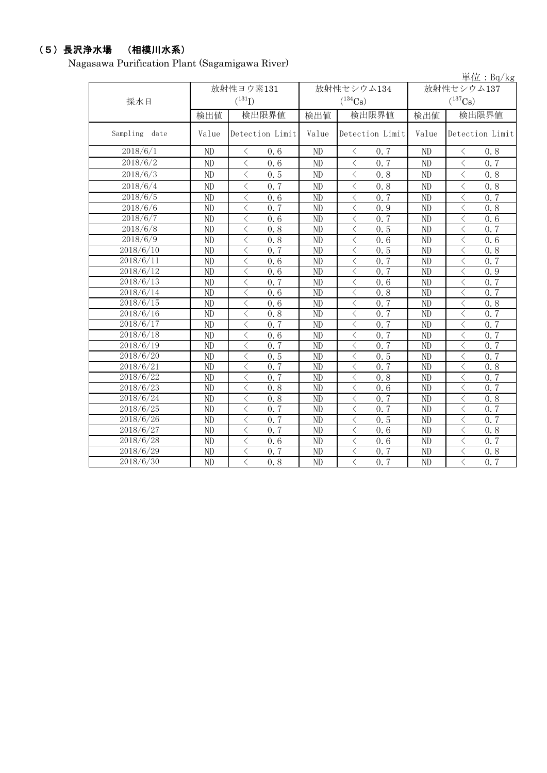# (5)長沢浄水場 (相模川水系)

Nagasawa Purification Plant (Sagamigawa River)

|                  |                |                                                 |       |                             |            | 単位: Bq/kg                                        |  |
|------------------|----------------|-------------------------------------------------|-------|-----------------------------|------------|--------------------------------------------------|--|
|                  |                | 放射性ヨウ素131                                       |       | 放射性セシウム134                  | 放射性セシウム137 |                                                  |  |
| 採水日              |                | $(^{131}I)$                                     |       | $(^{134}Cs)$                |            | $(^{137}Cs)$                                     |  |
|                  | 検出値            | 検出限界値                                           | 検出値   | 検出限界値                       | 検出値        | 検出限界値                                            |  |
| Sampling<br>date | Value          | Detection Limit                                 | Value | Detection Limit             | Value      | Detection Limit                                  |  |
| 2018/6/1         | ND             | 0.6<br>$\lt$                                    | ND    | $\langle$<br>0.7            | ND         | 0.8<br>$\langle$                                 |  |
| 2018/6/2         | ND             | $\langle$<br>0.6                                | ND    | $\lt$<br>0.7                | ND         | $\overline{\left\langle \right\rangle }$<br>0.7  |  |
| 2018/6/3         | ND             | $\overline{\left\langle \right\rangle }$<br>0.5 | ND    | $\lt$<br>0.8                | ND         | $\overline{\left\langle \right\rangle }$<br>0, 8 |  |
| 2018/6/4         | N <sub>D</sub> | $\langle$<br>0.7                                | ND    | $\langle$<br>0.8            | ND         | $\overline{\left\langle \right\rangle }$<br>0.8  |  |
| 2018/6/5         | ND             | $\overline{\left\langle \right\rangle }$<br>0.6 | ND    | $\lt$<br>0.7                | ND         | $\langle$<br>0, 7                                |  |
| 2018/6/6         | N <sub>D</sub> | $\langle$<br>0.7                                | ND    | $\lt$<br>0.9                | ND         | $\langle$<br>0, 8                                |  |
| 2018/6/7         | N <sub>D</sub> | $\lt$<br>0.6                                    | ND    | $\lt$<br>0.7                | ND         | 0.6<br>$\lt$                                     |  |
| 2018/6/8         | ND             | $\lt$<br>0.8                                    | ND    | $\lt$<br>0.5                | ND         | $\lt$<br>0, 7                                    |  |
| 2018/6/9         | ND             | $\lt$<br>0.8                                    | ND    | $\lt$<br>0.6                | ND         | $\lt$<br>0, 6                                    |  |
| 2018/6/10        | ND             | $\langle$<br>0.7                                | ND    | $\lt$<br>0.5                | ND         | $\lt$<br>0.8                                     |  |
| 2018/6/11        | ND             | $\langle$<br>0.6                                | ND    | $\lt$<br>0.7                | ND         | $\lt$<br>0.7                                     |  |
| 2018/6/12        | ND             | $\lt$<br>0.6                                    | ND    | $\lt$<br>0.7                | ND         | $\lt$<br>0.9                                     |  |
| 2018/6/13        | ND             | $\lt$<br>0.7                                    | ND    | $\,$ $\,$ $\,$<br>0.6       | ND         | $\langle$<br>0.7                                 |  |
| 2018/6/14        | ND             | $\langle$<br>0.6                                | ND    | $\lt$<br>0.8                | ND         | $\langle$<br>0.7                                 |  |
| 2018/6/15        | ND             | $\lt$<br>0.6                                    | ND    | $\lt$<br>0.7                | ND         | $\langle$<br>0.8                                 |  |
| 2018/6/16        | ND             | $\lt$<br>0.8                                    | ND    | $\langle$<br>0.7            | ND         | $\lt$<br>0.7                                     |  |
| 2018/6/17        | ND             | $\overline{\left\langle \right\rangle }$<br>0.7 | ND    | $\lt$<br>0, 7               | ND         | $\langle$<br>0, 7                                |  |
| 2018/6/18        | ND             | $\lt$<br>0.6                                    | ND    | $\lt$<br>0, 7               | ND         | $\lt$<br>0, 7                                    |  |
| 2018/6/19        | ND             | $\langle$<br>0.7                                | ND    | $\lt$<br>0, 7               | ND         | $\langle$<br>0, 7                                |  |
| 2018/6/20        | ND             | $\langle$<br>0.5                                | ND    | $\langle$<br>0.5            | ND         | $\langle$<br>$\overline{0.7}$                    |  |
| 2018/6/21        | ND             | 0.7<br>$\lt$                                    | ND    | $\langle$<br>0, 7           | ND         | $\lt$<br>0.8                                     |  |
| 2018/6/22        | ND             | 0.7<br>$\overline{\left\langle \right\rangle }$ | ND    | $\lt$<br>0.8                | ND         | $\overline{\left\langle \right\rangle }$<br>0, 7 |  |
| 2018/6/23        | ND             | $\lt$<br>0, 8                                   | ND    | $\langle$<br>0, 6           | ND         | $\lt$<br>0, 7                                    |  |
| 2018/6/24        | ND             | $\langle$<br>0.8                                | ND    | $\lt$<br>0, 7               | ND         | $\langle$<br>0.8                                 |  |
| 2018/6/25        | ND             | 0.7<br>$\langle$                                | ND    | $\lt$<br>0, 7               | ND         | $\langle$<br>0, 7                                |  |
| 2018/6/26        | ND             | $\langle$<br>0.7                                | ND    | $\langle$<br>0.5            | ND         | $\lt$<br>0, 7                                    |  |
| 2018/6/27        | ND             | $\lt$<br>0.7                                    | ND    | $\lt$<br>0.6                | ND         | $\lt$<br>0.8                                     |  |
| 2018/6/28        | ND             | $\langle$<br>0.6                                | ND    | $\langle$<br>0.6            | ND         | $\lt$<br>0, 7                                    |  |
| 2018/6/29        | ND             | $\lt$<br>0.7                                    | ND    | $\lt$<br>0.7                | ND         | $\lt$<br>0.8                                     |  |
| 2018/6/30        | ND             | $\overline{\langle}$<br>0.8                     | ND    | $\overline{\langle}$<br>0.7 | ND         | $\overline{\langle}$<br>0.7                      |  |